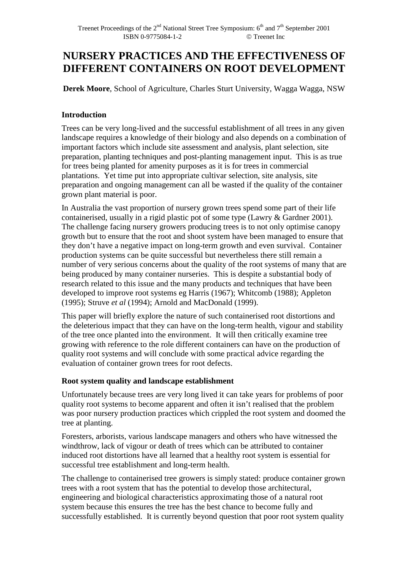# **NURSERY PRACTICES AND THE EFFECTIVENESS OF DIFFERENT CONTAINERS ON ROOT DEVELOPMENT**

**Derek Moore**, School of Agriculture, Charles Sturt University, Wagga Wagga, NSW

# **Introduction**

Trees can be very long-lived and the successful establishment of all trees in any given landscape requires a knowledge of their biology and also depends on a combination of important factors which include site assessment and analysis, plant selection, site preparation, planting techniques and post-planting management input. This is as true for trees being planted for amenity purposes as it is for trees in commercial plantations. Yet time put into appropriate cultivar selection, site analysis, site preparation and ongoing management can all be wasted if the quality of the container grown plant material is poor.

In Australia the vast proportion of nursery grown trees spend some part of their life containerised, usually in a rigid plastic pot of some type (Lawry & Gardner 2001). The challenge facing nursery growers producing trees is to not only optimise canopy growth but to ensure that the root and shoot system have been managed to ensure that they don't have a negative impact on long-term growth and even survival. Container production systems can be quite successful but nevertheless there still remain a number of very serious concerns about the quality of the root systems of many that are being produced by many container nurseries. This is despite a substantial body of research related to this issue and the many products and techniques that have been developed to improve root systems eg Harris (1967); Whitcomb (1988); Appleton (1995); Struve *et al* (1994); Arnold and MacDonald (1999).

This paper will briefly explore the nature of such containerised root distortions and the deleterious impact that they can have on the long-term health, vigour and stability of the tree once planted into the environment. It will then critically examine tree growing with reference to the role different containers can have on the production of quality root systems and will conclude with some practical advice regarding the evaluation of container grown trees for root defects.

## **Root system quality and landscape establishment**

Unfortunately because trees are very long lived it can take years for problems of poor quality root systems to become apparent and often it isn't realised that the problem was poor nursery production practices which crippled the root system and doomed the tree at planting.

Foresters, arborists, various landscape managers and others who have witnessed the windthrow, lack of vigour or death of trees which can be attributed to container induced root distortions have all learned that a healthy root system is essential for successful tree establishment and long-term health.

The challenge to containerised tree growers is simply stated: produce container grown trees with a root system that has the potential to develop those architectural, engineering and biological characteristics approximating those of a natural root system because this ensures the tree has the best chance to become fully and successfully established. It is currently beyond question that poor root system quality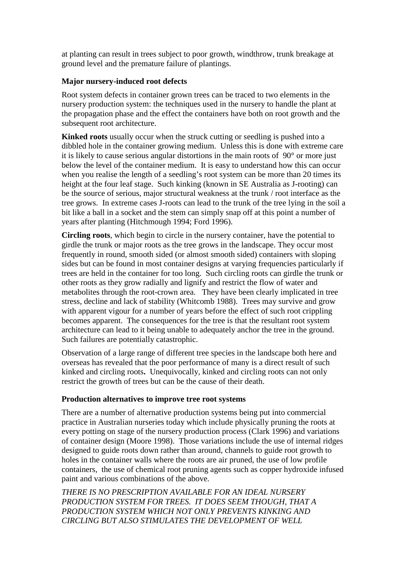at planting can result in trees subject to poor growth, windthrow, trunk breakage at ground level and the premature failure of plantings.

#### **Major nursery-induced root defects**

Root system defects in container grown trees can be traced to two elements in the nursery production system: the techniques used in the nursery to handle the plant at the propagation phase and the effect the containers have both on root growth and the subsequent root architecture.

**Kinked roots** usually occur when the struck cutting or seedling is pushed into a dibbled hole in the container growing medium. Unless this is done with extreme care it is likely to cause serious angular distortions in the main roots of 90° or more just below the level of the container medium. It is easy to understand how this can occur when you realise the length of a seedling's root system can be more than 20 times its height at the four leaf stage. Such kinking (known in SE Australia as J-rooting) can be the source of serious, major structural weakness at the trunk / root interface as the tree grows. In extreme cases J-roots can lead to the trunk of the tree lying in the soil a bit like a ball in a socket and the stem can simply snap off at this point a number of years after planting (Hitchmough 1994; Ford 1996).

**Circling roots**, which begin to circle in the nursery container, have the potential to girdle the trunk or major roots as the tree grows in the landscape. They occur most frequently in round, smooth sided (or almost smooth sided) containers with sloping sides but can be found in most container designs at varying frequencies particularly if trees are held in the container for too long. Such circling roots can girdle the trunk or other roots as they grow radially and lignify and restrict the flow of water and metabolites through the root-crown area. They have been clearly implicated in tree stress, decline and lack of stability (Whitcomb 1988). Trees may survive and grow with apparent vigour for a number of years before the effect of such root crippling becomes apparent. The consequences for the tree is that the resultant root system architecture can lead to it being unable to adequately anchor the tree in the ground. Such failures are potentially catastrophic.

Observation of a large range of different tree species in the landscape both here and overseas has revealed that the poor performance of many is a direct result of such kinked and circling roots**.** Unequivocally, kinked and circling roots can not only restrict the growth of trees but can be the cause of their death.

## **Production alternatives to improve tree root systems**

There are a number of alternative production systems being put into commercial practice in Australian nurseries today which include physically pruning the roots at every potting on stage of the nursery production process (Clark 1996) and variations of container design (Moore 1998). Those variations include the use of internal ridges designed to guide roots down rather than around, channels to guide root growth to holes in the container walls where the roots are air pruned, the use of low profile containers, the use of chemical root pruning agents such as copper hydroxide infused paint and various combinations of the above.

*THERE IS NO PRESCRIPTION AVAILABLE FOR AN IDEAL NURSERY PRODUCTION SYSTEM FOR TREES. IT DOES SEEM THOUGH, THAT A PRODUCTION SYSTEM WHICH NOT ONLY PREVENTS KINKING AND CIRCLING BUT ALSO STIMULATES THE DEVELOPMENT OF WELL*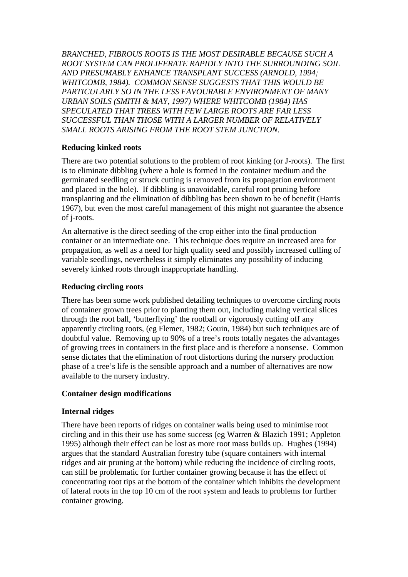*BRANCHED, FIBROUS ROOTS IS THE MOST DESIRABLE BECAUSE SUCH A ROOT SYSTEM CAN PROLIFERATE RAPIDLY INTO THE SURROUNDING SOIL AND PRESUMABLY ENHANCE TRANSPLANT SUCCESS (ARNOLD, 1994; WHITCOMB, 1984). COMMON SENSE SUGGESTS THAT THIS WOULD BE PARTICULARLY SO IN THE LESS FAVOURABLE ENVIRONMENT OF MANY URBAN SOILS (SMITH & MAY, 1997) WHERE WHITCOMB (1984) HAS SPECULATED THAT TREES WITH FEW LARGE ROOTS ARE FAR LESS SUCCESSFUL THAN THOSE WITH A LARGER NUMBER OF RELATIVELY SMALL ROOTS ARISING FROM THE ROOT STEM JUNCTION.* 

## **Reducing kinked roots**

There are two potential solutions to the problem of root kinking (or J-roots). The first is to eliminate dibbling (where a hole is formed in the container medium and the germinated seedling or struck cutting is removed from its propagation environment and placed in the hole). If dibbling is unavoidable, careful root pruning before transplanting and the elimination of dibbling has been shown to be of benefit (Harris 1967), but even the most careful management of this might not guarantee the absence of j-roots.

An alternative is the direct seeding of the crop either into the final production container or an intermediate one. This technique does require an increased area for propagation, as well as a need for high quality seed and possibly increased culling of variable seedlings, nevertheless it simply eliminates any possibility of inducing severely kinked roots through inappropriate handling.

## **Reducing circling roots**

There has been some work published detailing techniques to overcome circling roots of container grown trees prior to planting them out, including making vertical slices through the root ball, 'butterflying' the rootball or vigorously cutting off any apparently circling roots, (eg Flemer, 1982; Gouin, 1984) but such techniques are of doubtful value. Removing up to 90% of a tree's roots totally negates the advantages of growing trees in containers in the first place and is therefore a nonsense. Common sense dictates that the elimination of root distortions during the nursery production phase of a tree's life is the sensible approach and a number of alternatives are now available to the nursery industry.

## **Container design modifications**

## **Internal ridges**

There have been reports of ridges on container walls being used to minimise root circling and in this their use has some success (eg Warren & Blazich 1991; Appleton 1995) although their effect can be lost as more root mass builds up. Hughes (1994) argues that the standard Australian forestry tube (square containers with internal ridges and air pruning at the bottom) while reducing the incidence of circling roots, can still be problematic for further container growing because it has the effect of concentrating root tips at the bottom of the container which inhibits the development of lateral roots in the top 10 cm of the root system and leads to problems for further container growing.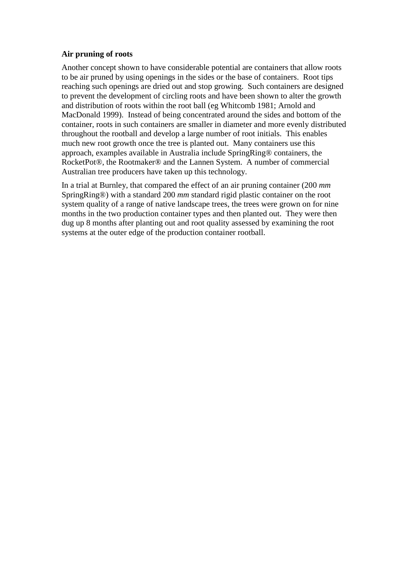#### **Air pruning of roots**

Another concept shown to have considerable potential are containers that allow roots to be air pruned by using openings in the sides or the base of containers. Root tips reaching such openings are dried out and stop growing. Such containers are designed to prevent the development of circling roots and have been shown to alter the growth and distribution of roots within the root ball (eg Whitcomb 1981; Arnold and MacDonald 1999). Instead of being concentrated around the sides and bottom of the container, roots in such containers are smaller in diameter and more evenly distributed throughout the rootball and develop a large number of root initials. This enables much new root growth once the tree is planted out. Many containers use this approach, examples available in Australia include SpringRing® containers, the RocketPot®, the Rootmaker® and the Lannen System. A number of commercial Australian tree producers have taken up this technology.

In a trial at Burnley, that compared the effect of an air pruning container (200 *mm* SpringRing®) with a standard 200 *mm* standard rigid plastic container on the root system quality of a range of native landscape trees, the trees were grown on for nine months in the two production container types and then planted out. They were then dug up 8 months after planting out and root quality assessed by examining the root systems at the outer edge of the production container rootball.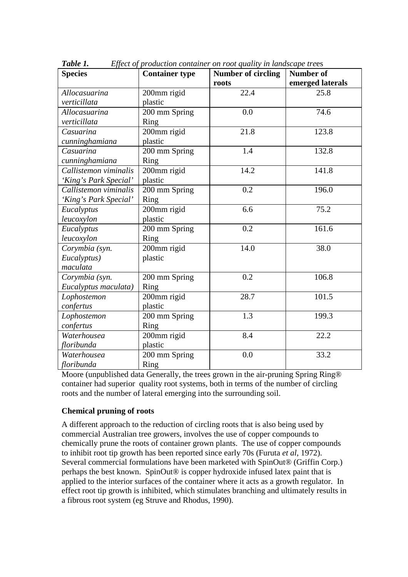| <b>Species</b>        | <b>Container type</b> | Number of circling | Number of        |
|-----------------------|-----------------------|--------------------|------------------|
|                       |                       | roots              | emerged laterals |
| Allocasuarina         | 200mm rigid           | 22.4               | 25.8             |
| verticillata          | plastic               |                    |                  |
| Allocasuarina         | 200 mm Spring         | 0.0                | 74.6             |
| verticillata          | Ring                  |                    |                  |
| Casuarina             | 200mm rigid           | 21.8               | 123.8            |
| cunninghamiana        | plastic               |                    |                  |
| Casuarina             | 200 mm Spring         | 1.4                | 132.8            |
| cunninghamiana        | Ring                  |                    |                  |
| Callistemon viminalis | 200mm rigid           | 14.2               | 141.8            |
| 'King's Park Special' | plastic               |                    |                  |
| Callistemon viminalis | 200 mm Spring         | 0.2                | 196.0            |
| 'King's Park Special' | Ring                  |                    |                  |
| Eucalyptus            | 200mm rigid           | 6.6                | 75.2             |
| leucoxylon            | plastic               |                    |                  |
| Eucalyptus            | 200 mm Spring         | 0.2                | 161.6            |
| leucoxylon            | Ring                  |                    |                  |
| Corymbia (syn.        | 200mm rigid           | 14.0               | 38.0             |
| Eucalyptus)           | plastic               |                    |                  |
| maculata              |                       |                    |                  |
| Corymbia (syn.        | 200 mm Spring         | 0.2                | 106.8            |
| Eucalyptus maculata)  | Ring                  |                    |                  |
| Lophostemon           | 200mm rigid           | 28.7               | 101.5            |
| confertus             | plastic               |                    |                  |
| Lophostemon           | 200 mm Spring         | 1.3                | 199.3            |
| confertus             | Ring                  |                    |                  |
| Waterhousea           | 200mm rigid           | 8.4                | 22.2             |
| floribunda            | plastic               |                    |                  |
| Waterhousea           | 200 mm Spring         | 0.0                | 33.2             |
| floribunda            | Ring                  |                    |                  |

*Table 1. Effect of production container on root quality in landscape tre*es

Moore (unpublished data Generally, the trees grown in the air-pruning Spring Ring® container had superior quality root systems, both in terms of the number of circling roots and the number of lateral emerging into the surrounding soil.

## **Chemical pruning of roots**

A different approach to the reduction of circling roots that is also being used by commercial Australian tree growers, involves the use of copper compounds to chemically prune the roots of container grown plants. The use of copper compounds to inhibit root tip growth has been reported since early 70s (Furuta *et al*, 1972). Several commercial formulations have been marketed with SpinOut® (Griffin Corp.) perhaps the best known. SpinOut® is copper hydroxide infused latex paint that is applied to the interior surfaces of the container where it acts as a growth regulator. In effect root tip growth is inhibited, which stimulates branching and ultimately results in a fibrous root system (eg Struve and Rhodus, 1990).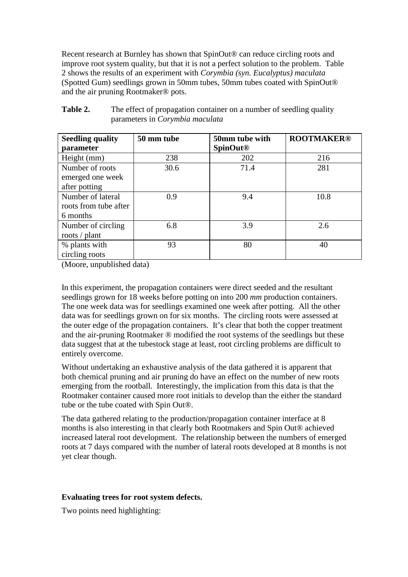Recent research at Burnley has shown that SpinOut<sup>®</sup> can reduce circling roots and improve root system quality, but that it is not a perfect solution to the problem. Table 2 shows the results of an experiment with *Corymbia (syn. Eucalyptus) maculata* (Spotted Gum) seedlings grown in 50mm tubes, 50mm tubes coated with SpinOut® and the air pruning Rootmaker® pots.

| <b>Seedling quality</b><br>parameter                   | 50 mm tube | 50mm tube with<br><b>SpinOut<sup>®</sup></b> | <b>ROOTMAKER®</b> |
|--------------------------------------------------------|------------|----------------------------------------------|-------------------|
| Height (mm)                                            | 238        | 202                                          | 216               |
| Number of roots<br>emerged one week<br>after potting   | 30.6       | 71.4                                         | 281               |
| Number of lateral<br>roots from tube after<br>6 months | 0.9        | 9.4                                          | 10.8              |
| Number of circling<br>roots / plant                    | 6.8        | 3.9                                          | 2.6               |
| % plants with<br>circling roots                        | 93         | 80                                           | 40                |

| <b>Table 2.</b> | The effect of propagation container on a number of seedling quality |
|-----------------|---------------------------------------------------------------------|
|                 | parameters in <i>Corymbia maculata</i>                              |

(Moore, unpublished data)

In this experiment, the propagation containers were direct seeded and the resultant seedlings grown for 18 weeks before potting on into 200 *mm* production containers. The one week data was for seedlings examined one week after potting. All the other data was for seedlings grown on for six months. The circling roots were assessed at the outer edge of the propagation containers. It's clear that both the copper treatment and the air-pruning Rootmaker ® modified the root systems of the seedlings but these data suggest that at the tubestock stage at least, root circling problems are difficult to entirely overcome.

Without undertaking an exhaustive analysis of the data gathered it is apparent that both chemical pruning and air pruning do have an effect on the number of new roots emerging from the rootball. Interestingly, the implication from this data is that the Rootmaker container caused more root initials to develop than the either the standard tube or the tube coated with Spin Out®.

The data gathered relating to the production/propagation container interface at 8 months is also interesting in that clearly both Rootmakers and Spin Out® achieved increased lateral root development. The relationship between the numbers of emerged roots at 7 days compared with the number of lateral roots developed at 8 months is not yet clear though.

#### **Evaluating trees for root system defects.**

Two points need highlighting: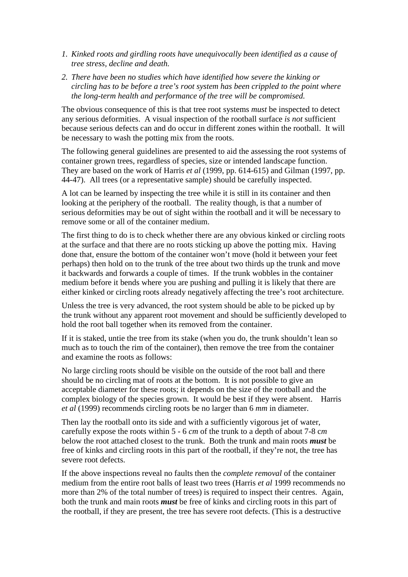- *1. Kinked roots and girdling roots have unequivocally been identified as a cause of tree stress, decline and death.*
- *2. There have been no studies which have identified how severe the kinking or circling has to be before a tree's root system has been crippled to the point where the long-term health and performance of the tree will be compromised.*

The obvious consequence of this is that tree root systems *must* be inspected to detect any serious deformities. A visual inspection of the rootball surface *is not* sufficient because serious defects can and do occur in different zones within the rootball. It will be necessary to wash the potting mix from the roots.

The following general guidelines are presented to aid the assessing the root systems of container grown trees, regardless of species, size or intended landscape function. They are based on the work of Harris *et al* (1999, pp. 614-615) and Gilman (1997, pp. 44-47). All trees (or a representative sample) should be carefully inspected.

A lot can be learned by inspecting the tree while it is still in its container and then looking at the periphery of the rootball. The reality though, is that a number of serious deformities may be out of sight within the rootball and it will be necessary to remove some or all of the container medium.

The first thing to do is to check whether there are any obvious kinked or circling roots at the surface and that there are no roots sticking up above the potting mix. Having done that, ensure the bottom of the container won't move (hold it between your feet perhaps) then hold on to the trunk of the tree about two thirds up the trunk and move it backwards and forwards a couple of times. If the trunk wobbles in the container medium before it bends where you are pushing and pulling it is likely that there are either kinked or circling roots already negatively affecting the tree's root architecture.

Unless the tree is very advanced, the root system should be able to be picked up by the trunk without any apparent root movement and should be sufficiently developed to hold the root ball together when its removed from the container.

If it is staked, untie the tree from its stake (when you do, the trunk shouldn't lean so much as to touch the rim of the container), then remove the tree from the container and examine the roots as follows:

No large circling roots should be visible on the outside of the root ball and there should be no circling mat of roots at the bottom. It is not possible to give an acceptable diameter for these roots; it depends on the size of the rootball and the complex biology of the species grown. It would be best if they were absent. Harris *et al* (1999) recommends circling roots be no larger than 6 *mm* in diameter.

Then lay the rootball onto its side and with a sufficiently vigorous jet of water, carefully expose the roots within 5 - 6 *cm* of the trunk to a depth of about 7-8 c*m* below the root attached closest to the trunk. Both the trunk and main roots *must* be free of kinks and circling roots in this part of the rootball, if they're not, the tree has severe root defects.

If the above inspections reveal no faults then the *complete removal* of the container medium from the entire root balls of least two trees (Harris *et al* 1999 recommends no more than 2% of the total number of trees) is required to inspect their centres. Again, both the trunk and main roots *must* be free of kinks and circling roots in this part of the rootball, if they are present, the tree has severe root defects. (This is a destructive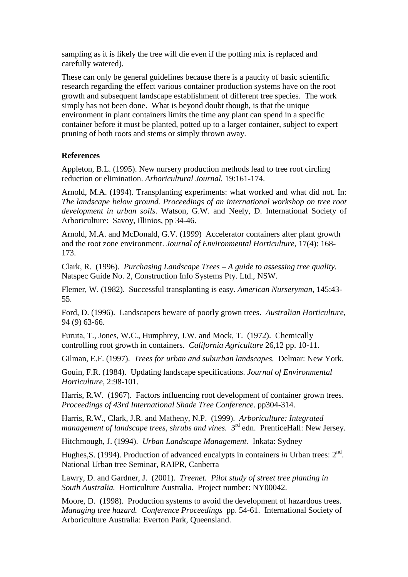sampling as it is likely the tree will die even if the potting mix is replaced and carefully watered).

These can only be general guidelines because there is a paucity of basic scientific research regarding the effect various container production systems have on the root growth and subsequent landscape establishment of different tree species. The work simply has not been done. What is beyond doubt though, is that the unique environment in plant containers limits the time any plant can spend in a specific container before it must be planted, potted up to a larger container, subject to expert pruning of both roots and stems or simply thrown away.

#### **References**

Appleton, B.L. (1995). New nursery production methods lead to tree root circling reduction or elimination. *Arboricultural Journal.* 19:161-174.

Arnold, M.A. (1994). Transplanting experiments: what worked and what did not. In: *The landscape below ground. Proceedings of an international workshop on tree root development in urban soils*. Watson, G.W. and Neely, D. International Society of Arboriculture: Savoy, Illinios, pp 34-46.

Arnold, M.A. and McDonald, G.V. (1999) Accelerator containers alter plant growth and the root zone environment. *Journal of Environmental Horticulture,* 17(4): 168- 173.

Clark, R. (1996). *Purchasing Landscape Trees – A guide to assessing tree quality.* Natspec Guide No. 2, Construction Info Systems Pty. Ltd., NSW.

Flemer, W. (1982). Successful transplanting is easy. *American Nurseryman,* 145:43- 55.

Ford, D. (1996). Landscapers beware of poorly grown trees. *Australian Horticulture*, 94 (9) 63-66.

Furuta, T., Jones, W.C., Humphrey, J.W. and Mock, T. (1972). Chemically controlling root growth in containers. *California Agriculture* 26,12 pp. 10-11.

Gilman, E.F. (1997). *Trees for urban and suburban landscapes.* Delmar: New York.

Gouin, F.R. (1984). Updating landscape specifications. *Journal of Environmental Horticulture,* 2:98-101.

Harris, R.W. (1967). Factors influencing root development of container grown trees. *Proceedings of 43rd International Shade Tree Conference*. pp304-314.

Harris, R.W., Clark, J.R. and Matheny, N.P. (1999). *Arboriculture: Integrated management of landscape trees, shrubs and vines.*  $3<sup>rd</sup>$  edn. PrenticeHall: New Jersey.

Hitchmough, J. (1994). *Urban Landscape Management.* Inkata: Sydney

Hughes, S. (1994). Production of advanced eucalypts in containers *in* Urban trees: 2<sup>nd</sup>. National Urban tree Seminar, RAIPR, Canberra

Lawry, D. and Gardner, J. (2001). *Treenet. Pilot study of street tree planting in South Australia.* Horticulture Australia. Project number: NY00042.

Moore, D. (1998). Production systems to avoid the development of hazardous trees. *Managing tree hazard. Conference Proceedings* pp. 54-61. International Society of Arboriculture Australia: Everton Park, Queensland.